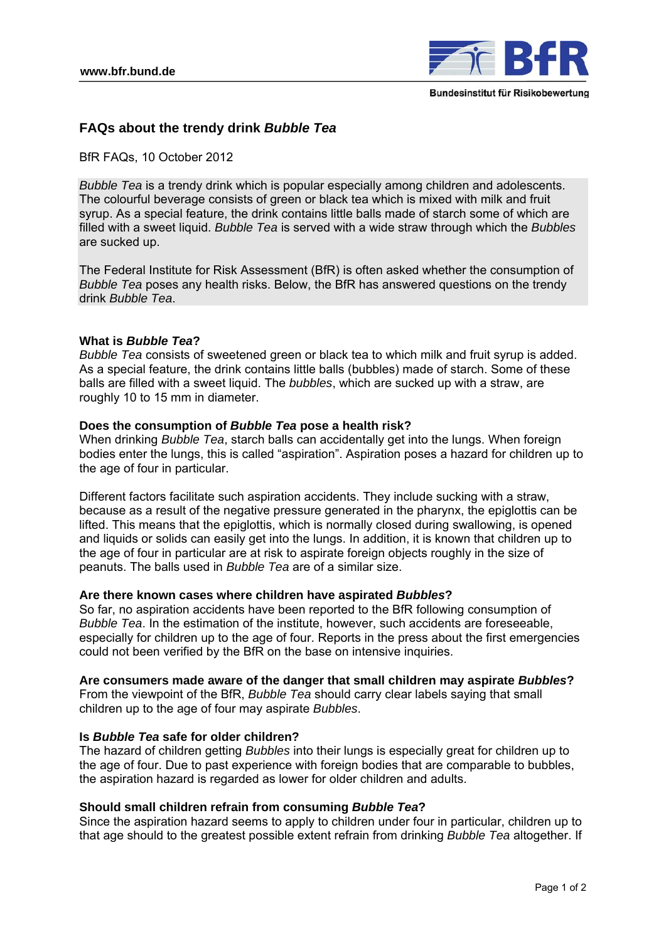

# **FAQs about the trendy drink** *Bubble Tea*

BfR FAQs, 10 October 2012

*Bubble Tea* is a trendy drink which is popular especially among children and adolescents. The colourful beverage consists of green or black tea which is mixed with milk and fruit syrup. As a special feature, the drink contains little balls made of starch some of which are filled with a sweet liquid. *Bubble Tea* is served with a wide straw through which the *Bubbles*  are sucked up.

The Federal Institute for Risk Assessment (BfR) is often asked whether the consumption of *Bubble Tea* poses any health risks. Below, the BfR has answered questions on the trendy drink *Bubble Tea*.

### **What is** *Bubble Tea***?**

*Bubble Tea* consists of sweetened green or black tea to which milk and fruit syrup is added. As a special feature, the drink contains little balls (bubbles) made of starch. Some of these balls are filled with a sweet liquid. The *bubbles*, which are sucked up with a straw, are roughly 10 to 15 mm in diameter.

### **Does the consumption of** *Bubble Tea* **pose a health risk?**

When drinking *Bubble Tea*, starch balls can accidentally get into the lungs. When foreign bodies enter the lungs, this is called "aspiration". Aspiration poses a hazard for children up to the age of four in particular.

Different factors facilitate such aspiration accidents. They include sucking with a straw, because as a result of the negative pressure generated in the pharynx, the epiglottis can be lifted. This means that the epiglottis, which is normally closed during swallowing, is opened and liquids or solids can easily get into the lungs. In addition, it is known that children up to the age of four in particular are at risk to aspirate foreign objects roughly in the size of peanuts. The balls used in *Bubble Tea* are of a similar size.

### **Are there known cases where children have aspirated** *Bubbles***?**

So far, no aspiration accidents have been reported to the BfR following consumption of *Bubble Tea*. In the estimation of the institute, however, such accidents are foreseeable, especially for children up to the age of four. Reports in the press about the first emergencies could not been verified by the BfR on the base on intensive inquiries.

### **Are consumers made aware of the danger that small children may aspirate** *Bubbles***?**

From the viewpoint of the BfR, *Bubble Tea* should carry clear labels saying that small children up to the age of four may aspirate *Bubbles*.

#### **Is** *Bubble Tea* **safe for older children?**

The hazard of children getting *Bubbles* into their lungs is especially great for children up to the age of four. Due to past experience with foreign bodies that are comparable to bubbles, the aspiration hazard is regarded as lower for older children and adults.

### **Should small children refrain from consuming** *Bubble Tea***?**

Since the aspiration hazard seems to apply to children under four in particular, children up to that age should to the greatest possible extent refrain from drinking *Bubble Tea* altogether. If